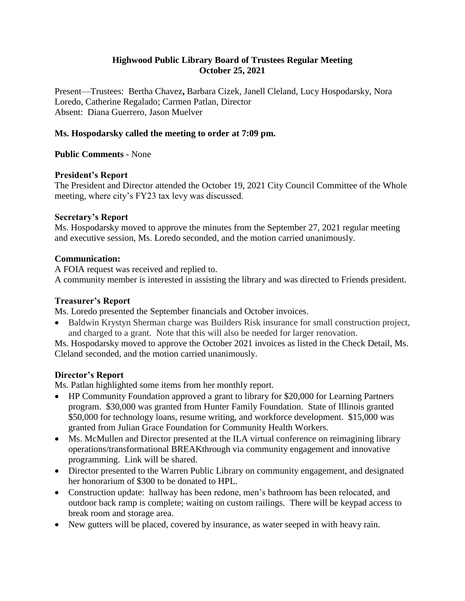## **Highwood Public Library Board of Trustees Regular Meeting October 25, 2021**

Present—Trustees: Bertha Chavez**,** Barbara Cizek, Janell Cleland, Lucy Hospodarsky, Nora Loredo, Catherine Regalado; Carmen Patlan, Director Absent: Diana Guerrero, Jason Muelver

## **Ms. Hospodarsky called the meeting to order at 7:09 pm.**

## **Public Comments** - None

## **President's Report**

The President and Director attended the October 19, 2021 City Council Committee of the Whole meeting, where city's FY23 tax levy was discussed.

## **Secretary's Report**

Ms. Hospodarsky moved to approve the minutes from the September 27, 2021 regular meeting and executive session, Ms. Loredo seconded, and the motion carried unanimously.

## **Communication:**

A FOIA request was received and replied to.

A community member is interested in assisting the library and was directed to Friends president.

# **Treasurer's Report**

Ms. Loredo presented the September financials and October invoices.

 Baldwin Krystyn Sherman charge was Builders Risk insurance for small construction project, and charged to a grant. Note that this will also be needed for larger renovation.

Ms. Hospodarsky moved to approve the October 2021 invoices as listed in the Check Detail, Ms. Cleland seconded, and the motion carried unanimously.

# **Director's Report**

Ms. Patlan highlighted some items from her monthly report.

- HP Community Foundation approved a grant to library for \$20,000 for Learning Partners program. \$30,000 was granted from Hunter Family Foundation. State of Illinois granted \$50,000 for technology loans, resume writing, and workforce development. \$15,000 was granted from Julian Grace Foundation for Community Health Workers.
- Ms. McMullen and Director presented at the ILA virtual conference on reimagining library operations/transformational BREAKthrough via community engagement and innovative programming. Link will be shared.
- Director presented to the Warren Public Library on community engagement, and designated her honorarium of \$300 to be donated to HPL.
- Construction update: hallway has been redone, men's bathroom has been relocated, and outdoor back ramp is complete; waiting on custom railings. There will be keypad access to break room and storage area.
- New gutters will be placed, covered by insurance, as water seeped in with heavy rain.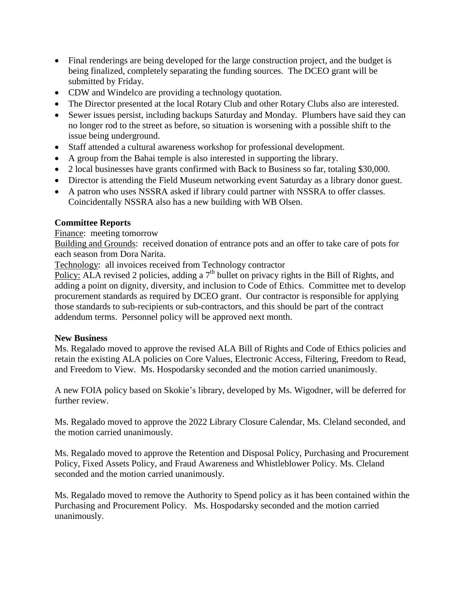- Final renderings are being developed for the large construction project, and the budget is being finalized, completely separating the funding sources. The DCEO grant will be submitted by Friday.
- CDW and Windelco are providing a technology quotation.
- The Director presented at the local Rotary Club and other Rotary Clubs also are interested.
- Sewer issues persist, including backups Saturday and Monday. Plumbers have said they can no longer rod to the street as before, so situation is worsening with a possible shift to the issue being underground.
- Staff attended a cultural awareness workshop for professional development.
- A group from the Bahai temple is also interested in supporting the library.
- 2 local businesses have grants confirmed with Back to Business so far, totaling \$30,000.
- Director is attending the Field Museum networking event Saturday as a library donor guest.
- A patron who uses NSSRA asked if library could partner with NSSRA to offer classes. Coincidentally NSSRA also has a new building with WB Olsen.

## **Committee Reports**

#### Finance: meeting tomorrow

Building and Grounds: received donation of entrance pots and an offer to take care of pots for each season from Dora Narita.

Technology: all invoices received from Technology contractor

Policy: ALA revised 2 policies, adding a  $7<sup>th</sup>$  bullet on privacy rights in the Bill of Rights, and adding a point on dignity, diversity, and inclusion to Code of Ethics. Committee met to develop procurement standards as required by DCEO grant. Our contractor is responsible for applying those standards to sub-recipients or sub-contractors, and this should be part of the contract addendum terms. Personnel policy will be approved next month.

## **New Business**

Ms. Regalado moved to approve the revised ALA Bill of Rights and Code of Ethics policies and retain the existing ALA policies on Core Values, Electronic Access, Filtering, Freedom to Read, and Freedom to View. Ms. Hospodarsky seconded and the motion carried unanimously.

A new FOIA policy based on Skokie's library, developed by Ms. Wigodner, will be deferred for further review.

Ms. Regalado moved to approve the 2022 Library Closure Calendar, Ms. Cleland seconded, and the motion carried unanimously.

Ms. Regalado moved to approve the Retention and Disposal Policy, Purchasing and Procurement Policy, Fixed Assets Policy, and Fraud Awareness and Whistleblower Policy. Ms. Cleland seconded and the motion carried unanimously.

Ms. Regalado moved to remove the Authority to Spend policy as it has been contained within the Purchasing and Procurement Policy. Ms. Hospodarsky seconded and the motion carried unanimously.